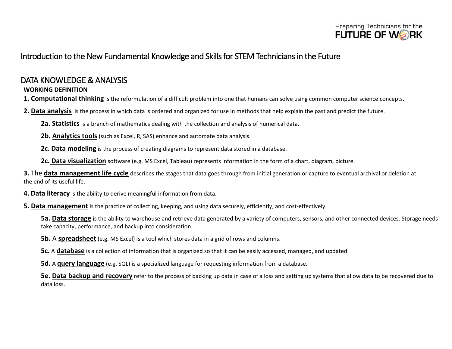

## Introduction to the New Fundamental Knowledge and Skills for STEM Technicians in the Future

### DATA KNOWLEDGE & ANALYSIS

### **WORKING DEFINITION**

**1. Computational thinking** is the reformulation of a difficult problem into one that humans can solve using common computer science concepts.

**2. Data analysis** is the process in which data is ordered and organized for use in methods that help explain the past and predict the future.

**2a. Statistics** is a branch of mathematics dealing with the collection and analysis of numerical data.

- **2b. Analytics tools** (such as Excel, R, SAS) enhance and automate data analysis.
- **2c. Data modeling** is the process of creating diagrams to represent data stored in a database.
- **2c. Data visualization** software (e.g. MS Excel, Tableau) represents information in the form of a chart, diagram, picture.

**3.** The **data management life cycle** describes the stages that data goes through from initial generation or capture to eventual archival or deletion at the end of its useful life.

- **4. Data literacy** is the ability to derive meaningful information from data.
- **5. Data management** is the practice of collecting, keeping, and using data securely, efficiently, and cost-effectively.

**5a. Data storage** is the ability to warehouse and retrieve data generated by a variety of computers, sensors, and other connected devices. Storage needs take capacity, performance, and backup into consideration

- **5b.** A **spreadsheet** (e.g. MS Excel) is a tool which stores data in a grid of rows and columns.
- **5c.** A **database** is a collection of information that is organized so that it can be easily accessed, managed, and updated.
- **5d.** A **query language** (e.g. SQL) is a specialized language for requesting information from a database.

**5e. Data backup and recovery** refer to the process of backing up data in case of a loss and setting up systems that allow data to be recovered due to data loss.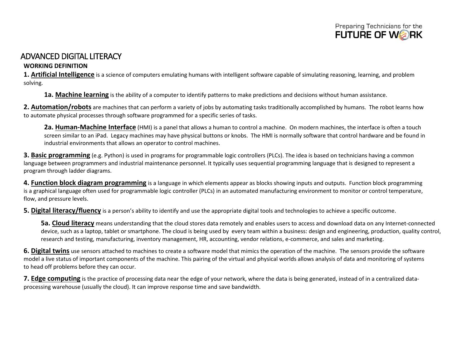

### ADVANCED DIGITAL LITERACY

#### **WORKING DEFINITION**

**1. Artificial Intelligence** is a science of computers emulating humans with intelligent software capable of simulating reasoning, learning, and problem solving.

**1a. Machine learning** is the ability of a computer to identify patterns to make predictions and decisions without human assistance.

**2. Automation/robots** are machines that can perform a variety of jobs by automating tasks traditionally accomplished by humans. The robot learns how to automate physical processes through software programmed for a specific series of tasks.

**2a. Human-Machine Interface** (HMI) is a panel that allows a human to control a machine. On modern machines, the interface is often a touch screen similar to an iPad. Legacy machines may have physical buttons or knobs. The HMI is normally software that control hardware and be found in industrial environments that allows an operator to control machines.

**3. Basic programming** (e.g. Python) is used in programs for programmable logic controllers (PLCs). The idea is based on technicians having a common language between programmers and industrial maintenance personnel. It typically uses sequential programming language that is designed to represent a program through ladder diagrams.

**4. Function block diagram programming** is a language in which elements appear as blocks showing inputs and outputs. Function block programming is a graphical language often used for programmable logic controller (PLCs) in an automated manufacturing environment to monitor or control temperature, flow, and pressure levels.

**5. Digital literacy/fluency** is a person's ability to identify and use the appropriate digital tools and technologies to achieve a specific outcome.

**5a. Cloud literacy** means understanding that the cloud stores data remotely and enables users to access and download data on any Internet-connected device, such as a laptop, tablet or smartphone. The cloud is being used by every team within a business: design and engineering, production, quality control, research and testing, manufacturing, inventory management, HR, accounting, vendor relations, e-commerce, and sales and marketing.

**6. Digital twins** use sensors attached to machines to create a software model that mimics the operation of the machine. The sensors provide the software model a live status of important components of the machine. This pairing of the virtual and physical worlds allows analysis of data and monitoring of systems to head off problems before they can occur.

**7. Edge computing** is the practice of processing data near the edge of your network, where the data is being generated, instead of in a centralized dataprocessing warehouse (usually the cloud). It can improve response time and save bandwidth.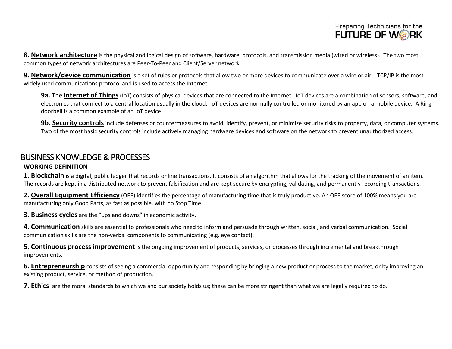

**8. Network architecture** is the physical and logical design of software, hardware, protocols, and transmission media (wired or wireless). The two most common types of network architectures are Peer-To-Peer and Client/Server network.

**9. Network/device communication** is a set of rules or protocols that allow two or more devices to communicate over a wire or air. TCP/IP is the most widely used communications protocol and is used to access the Internet.

**9a.** The **Internet of Things**(IoT) consists of physical devices that are connected to the Internet. IoT devices are a combination of sensors, software, and electronics that connect to a central location usually in the cloud. IoT devices are normally controlled or monitored by an app on a mobile device. A Ring doorbell is a common example of an IoT device.

**9b. Security controls** include defenses or countermeasures to avoid, identify, prevent, or minimize security risks to property, data, or computer systems. Two of the most basic security controls include actively managing hardware devices and software on the network to prevent unauthorized access.

# BUSINESS KNOWLEDGE & PROCESSES

#### **WORKING DEFINITION**

**1. Blockchain** is a digital, public ledger that records online transactions. It consists of an algorithm that allows for the tracking of the movement of an item. The records are kept in a distributed network to prevent falsification and are kept secure by encrypting, validating, and permanently recording transactions.

**2. Overall Equipment Efficiency** (OEE) identifies the percentage of manufacturing time that is truly productive. An OEE score of 100% means you are manufacturing only Good Parts, as fast as possible, with no Stop Time.

**3. Business cycles** are the "ups and downs" in economic activity.

**4. Communication** skills are essential to professionals who need to inform and persuade through written, social, and verbal communication. Social communication skills are the non-verbal components to communicating (e.g. eye contact).

**5. Continuous process improvement** is the ongoing improvement of products, services, or processes through incremental and breakthrough improvements.

**6. Entrepreneurship** consists of seeing a commercial opportunity and responding by bringing a new product or process to the market, or by improving an existing product, service, or method of production.

**7. Ethics** are the moral standards to which we and our society holds us; these can be more stringent than what we are legally required to do.